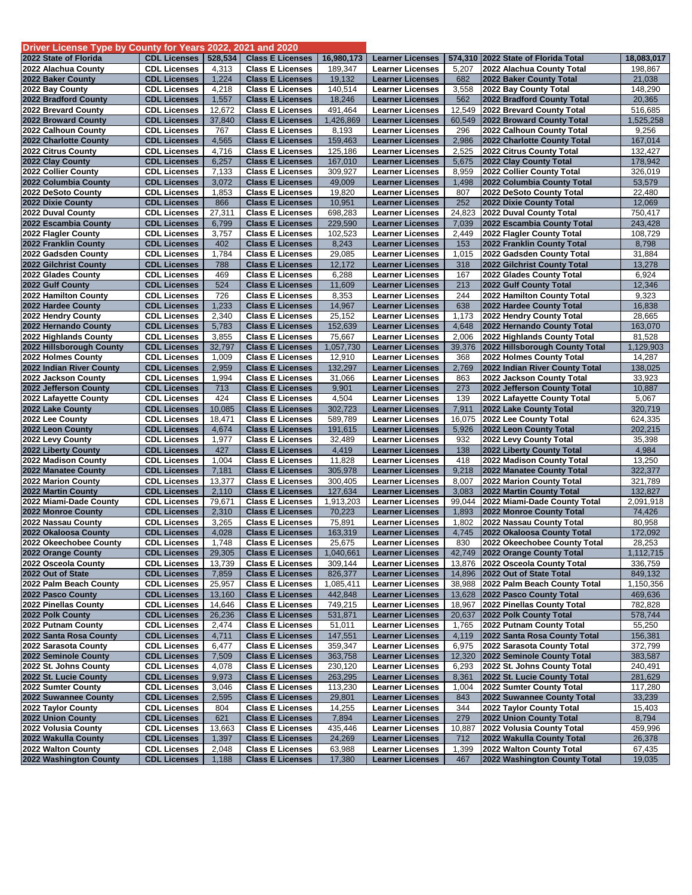| Driver License Type by County for Years 2022, 2021 and 2020 |                                            |              |                                                    |                  |                                                    |              |                                                          |                    |
|-------------------------------------------------------------|--------------------------------------------|--------------|----------------------------------------------------|------------------|----------------------------------------------------|--------------|----------------------------------------------------------|--------------------|
| 2022 State of Florida                                       | <b>CDL Licenses</b>                        | 528,534      | <b>Class E Licenses</b>                            | 16,980,173       | <b>Learner Licenses</b>                            |              | 574,310 2022 State of Florida Total                      | 18,083,017         |
| 2022 Alachua County                                         | <b>CDL Licenses</b>                        | 4,313        | <b>Class E Licenses</b>                            | 189,347          | <b>Learner Licenses</b>                            | 5,207        | 2022 Alachua County Total                                | 198,867            |
| 2022 Baker County                                           | <b>CDL Licenses</b>                        | 1,224        | <b>Class E Licenses</b>                            | 19,132           | <b>Learner Licenses</b>                            | 682          | 2022 Baker County Total                                  | 21,038             |
| 2022 Bay County                                             | <b>CDL Licenses</b>                        | 4,218        | <b>Class E Licenses</b>                            | 140,514          | <b>Learner Licenses</b>                            | 3,558        | 2022 Bay County Total                                    | 148,290            |
| 2022 Bradford County                                        | <b>CDL Licenses</b>                        | 1,557        | <b>Class E Licenses</b>                            | 18,246           | <b>Learner Licenses</b>                            | 562          | 2022 Bradford County Total                               | 20,365             |
| 2022 Brevard County                                         | <b>CDL Licenses</b>                        | 12,672       | <b>Class E Licenses</b>                            | 491,464          | <b>Learner Licenses</b>                            | 12,549       | 2022 Brevard County Total                                | 516,685            |
| 2022 Broward County                                         | <b>CDL Licenses</b>                        | 37,840       | <b>Class E Licenses</b>                            | 1,426,869        | <b>Learner Licenses</b>                            | 60,549       | 2022 Broward County Total                                | 1,525,258          |
| 2022 Calhoun County                                         | <b>CDL Licenses</b>                        | 767          | <b>Class E Licenses</b>                            | 8,193            | <b>Learner Licenses</b>                            | 296          | 2022 Calhoun County Total                                | 9,256              |
| 2022 Charlotte County                                       | <b>CDL Licenses</b>                        | 4,565        | <b>Class E Licenses</b>                            | 159,463          | <b>Learner Licenses</b>                            | 2,986        | 2022 Charlotte County Total                              | 167,014            |
| 2022 Citrus County                                          | <b>CDL Licenses</b>                        | 4,716        | <b>Class E Licenses</b>                            | 125,186          | <b>Learner Licenses</b>                            | 2,525        | 2022 Citrus County Total                                 | 132,427            |
| 2022 Clay County                                            | <b>CDL Licenses</b>                        | 6,257        | <b>Class E Licenses</b>                            | 167,010          | <b>Learner Licenses</b>                            | 5,675        | 2022 Clay County Total                                   | 178,942            |
| 2022 Collier County                                         | <b>CDL Licenses</b>                        | 7,133        | <b>Class E Licenses</b>                            | 309,927          | <b>Learner Licenses</b>                            | 8,959        | 2022 Collier County Total                                | 326,019            |
| 2022 Columbia County                                        | <b>CDL Licenses</b>                        | 3,072        | <b>Class E Licenses</b>                            | 49,009           | <b>Learner Licenses</b>                            | 1,498        | 2022 Columbia County Total                               | 53,579             |
| 2022 DeSoto County                                          | <b>CDL Licenses</b>                        | 1,853        | <b>Class E Licenses</b>                            | 19,820           | <b>Learner Licenses</b>                            | 807          | 2022 DeSoto County Total                                 | 22,480             |
| 2022 Dixie County                                           | <b>CDL Licenses</b>                        | 866          | <b>Class E Licenses</b>                            | 10,951           | <b>Learner Licenses</b>                            | 252          | 2022 Dixie County Total                                  | 12,069             |
| 2022 Duval County                                           | <b>CDL Licenses</b>                        | 27,311       | <b>Class E Licenses</b>                            | 698,283          | <b>Learner Licenses</b>                            | 24,823       | 2022 Duval County Total                                  | 750,417            |
| 2022 Escambia County                                        | <b>CDL Licenses</b><br><b>CDL Licenses</b> | 6,799        | <b>Class E Licenses</b><br><b>Class E Licenses</b> | 229,590          | <b>Learner Licenses</b><br><b>Learner Licenses</b> | 7,039        | 2022 Escambia County Total                               | 243,428<br>108,729 |
| 2022 Flagler County<br>2022 Franklin County                 |                                            | 3,757<br>402 |                                                    | 102,523          |                                                    | 2,449        | 2022 Flagler County Total                                |                    |
|                                                             | <b>CDL Licenses</b>                        |              | <b>Class E Licenses</b>                            | 8,243            | <b>Learner Licenses</b>                            | 153          | 2022 Franklin County Total                               | 8,798              |
| 2022 Gadsden County<br>2022 Gilchrist County                | <b>CDL Licenses</b><br><b>CDL Licenses</b> | 1,784<br>788 | <b>Class E Licenses</b><br><b>Class E Licenses</b> | 29,085<br>12,172 | <b>Learner Licenses</b><br><b>Learner Licenses</b> | 1,015<br>318 | 2022 Gadsden County Total<br>2022 Gilchrist County Total | 31,884<br>13,278   |
| 2022 Glades County                                          | <b>CDL Licenses</b>                        | 469          | <b>Class E Licenses</b>                            | 6,288            | <b>Learner Licenses</b>                            | 167          | 2022 Glades County Total                                 | 6,924              |
| 2022 Gulf County                                            | <b>CDL Licenses</b>                        | 524          | <b>Class E Licenses</b>                            | 11,609           | <b>Learner Licenses</b>                            | 213          | 2022 Gulf County Total                                   | 12,346             |
| 2022 Hamilton County                                        | <b>CDL Licenses</b>                        | 726          | <b>Class E Licenses</b>                            | 8,353            | <b>Learner Licenses</b>                            | 244          | 2022 Hamilton County Total                               | 9,323              |
| 2022 Hardee County                                          | <b>CDL Licenses</b>                        | 1,233        | <b>Class E Licenses</b>                            | 14,967           | <b>Learner Licenses</b>                            | 638          | 2022 Hardee County Total                                 | 16,838             |
| 2022 Hendry County                                          | <b>CDL Licenses</b>                        | 2,340        | <b>Class E Licenses</b>                            | 25,152           | <b>Learner Licenses</b>                            | 1,173        | 2022 Hendry County Total                                 | 28,665             |
| 2022 Hernando County                                        | <b>CDL Licenses</b>                        | 5,783        | <b>Class E Licenses</b>                            | 152,639          | <b>Learner Licenses</b>                            | 4,648        | 2022 Hernando County Total                               | 163,070            |
| 2022 Highlands County                                       | <b>CDL Licenses</b>                        | 3,855        | <b>Class E Licenses</b>                            | 75,667           | <b>Learner Licenses</b>                            | 2,006        | 2022 Highlands County Total                              | 81,528             |
| 2022 Hillsborough County                                    | <b>CDL Licenses</b>                        | 32,797       | <b>Class E Licenses</b>                            | 1,057,730        | <b>Learner Licenses</b>                            | 39,376       | 2022 Hillsborough County Total                           | 1,129,903          |
| 2022 Holmes County                                          | <b>CDL Licenses</b>                        | 1,009        | <b>Class E Licenses</b>                            | 12,910           | <b>Learner Licenses</b>                            | 368          | 2022 Holmes County Total                                 | 14,287             |
| 2022 Indian River County                                    | <b>CDL Licenses</b>                        | 2,959        | <b>Class E Licenses</b>                            | 132,297          | <b>Learner Licenses</b>                            | 2,769        | 2022 Indian River County Total                           | 138,025            |
| 2022 Jackson County                                         | <b>CDL Licenses</b>                        | 1,994        | <b>Class E Licenses</b>                            | 31,066           | <b>Learner Licenses</b>                            | 863          | 2022 Jackson County Total                                | 33,923             |
| 2022 Jefferson County                                       | <b>CDL Licenses</b>                        | 713          | <b>Class E Licenses</b>                            | 9,901            | <b>Learner Licenses</b>                            | 273          | 2022 Jefferson County Total                              | 10,887             |
| 2022 Lafayette County                                       | <b>CDL Licenses</b>                        | 424          | <b>Class E Licenses</b>                            | 4,504            | <b>Learner Licenses</b>                            | 139          | 2022 Lafayette County Total                              | 5,067              |
| 2022 Lake County                                            | <b>CDL Licenses</b>                        | 10,085       | <b>Class E Licenses</b>                            | 302,723          | <b>Learner Licenses</b>                            | 7,911        | 2022 Lake County Total                                   | 320,719            |
| 2022 Lee County                                             | <b>CDL Licenses</b>                        | 18,471       | <b>Class E Licenses</b>                            | 589,789          | <b>Learner Licenses</b>                            | 16,075       | 2022 Lee County Total                                    | 624,335            |
| 2022 Leon County                                            | <b>CDL Licenses</b>                        | 4,674        | <b>Class E Licenses</b>                            | 191,615          | <b>Learner Licenses</b>                            | 5,926        | 2022 Leon County Total                                   | 202,215            |
| 2022 Levy County                                            | <b>CDL Licenses</b>                        | 1,977        | <b>Class E Licenses</b>                            | 32,489           | <b>Learner Licenses</b>                            | 932          | 2022 Levy County Total                                   | 35,398             |
| 2022 Liberty County                                         | <b>CDL Licenses</b>                        | 427          | <b>Class E Licenses</b>                            | 4,419            | <b>Learner Licenses</b>                            | 138          | 2022 Liberty County Total                                | 4,984              |
| 2022 Madison County                                         | <b>CDL Licenses</b>                        | 1,004        | <b>Class E Licenses</b>                            | 11,828           | <b>Learner Licenses</b>                            | 418          | 2022 Madison County Total                                | 13,250             |
| 2022 Manatee County                                         | <b>CDL Licenses</b>                        | 7,181        | <b>Class E Licenses</b>                            | 305,978          | <b>Learner Licenses</b>                            | 9,218        | 2022 Manatee County Total                                | 322,377            |
| 2022 Marion County                                          | <b>CDL Licenses</b>                        | 13,377       | <b>Class E Licenses</b>                            | 300,405          | <b>Learner Licenses</b>                            | 8,007        | 2022 Marion County Total                                 | 321,789            |
| 2022 Martin County                                          | <b>CDL Licenses</b>                        | 2,110        | <b>Class E Licenses</b>                            | 127,634          | <b>Learner Licenses</b>                            | 3,083        | 2022 Martin County Total                                 | 132,827            |
| 2022 Miami-Dade County                                      | <b>CDL Licenses</b>                        | 79,671       | <b>Class E Licenses</b>                            | 1,913,203        | <b>Learner Licenses</b>                            | 99,044       | 2022 Miami-Dade County Total                             | 2,091,918          |
| 2022 Monroe County                                          | <b>CDL Licenses</b>                        | 2,310        | <b>Class E Licenses</b>                            | 70,223           | <b>Learner Licenses</b>                            | 1,893        | 2022 Monroe County Total                                 | 74,426             |
| 2022 Nassau County                                          | <b>CDL Licenses</b>                        | 3,265        | <b>Class E Licenses</b>                            | 75,891           | <b>Learner Licenses</b>                            | 1,802        | 2022 Nassau County Total                                 | 80,958             |
| 2022 Okaloosa County                                        | <b>CDL Licenses</b>                        | 4,028        | <b>Class E Licenses</b>                            | 163,319          | <b>Learner Licenses</b>                            | 4,745        | 2022 Okaloosa County Total                               | 172,092            |
| 2022 Okeechobee County                                      | <b>CDL Licenses</b>                        | 1,748        | <b>Class E Licenses</b>                            | 25,675           | <b>Learner Licenses</b>                            | 830          | 2022 Okeechobee County Total                             | 28,253             |
| 2022 Orange County                                          | <b>CDL Licenses</b>                        | 29,305       | <b>Class E Licenses</b>                            | 1,040,661        | <b>Learner Licenses</b>                            |              | 42,749 2022 Orange County Total                          | 1,112,715          |
| 2022 Osceola County                                         | <b>CDL Licenses</b>                        | 13,739       | <b>Class E Licenses</b>                            | 309,144          | <b>Learner Licenses</b>                            |              | 13,876 2022 Osceola County Total                         | 336,759            |
| 2022 Out of State                                           | <b>CDL Licenses</b>                        | 7,859        | <b>Class E Licenses</b>                            | 826,377          | <b>Learner Licenses</b>                            |              | 14,896 2022 Out of State Total                           | 849,132            |
| 2022 Palm Beach County                                      | <b>CDL Licenses</b>                        | 25,957       | <b>Class E Licenses</b>                            | 1,085,411        | <b>Learner Licenses</b>                            |              | 38,988 2022 Palm Beach County Total                      | 1,150,356          |
| 2022 Pasco County                                           | <b>CDL Licenses</b>                        | 13,160       | <b>Class E Licenses</b>                            | 442,848          | <b>Learner Licenses</b>                            |              | 13,628 2022 Pasco County Total                           | 469,636            |
| 2022 Pinellas County                                        | <b>CDL Licenses</b>                        | 14,646       | <b>Class E Licenses</b>                            | 749,215          | <b>Learner Licenses</b>                            | 18,967       | 2022 Pinellas County Total                               | 782,828            |
| 2022 Polk County                                            | <b>CDL Licenses</b>                        | 26,236       | <b>Class E Licenses</b>                            | 531,871          | <b>Learner Licenses</b>                            |              | 20,637 2022 Polk County Total                            | 578,744            |
| 2022 Putnam County                                          | <b>CDL Licenses</b>                        | 2,474        | <b>Class E Licenses</b>                            | 51,011           | <b>Learner Licenses</b>                            | 1,765        | 2022 Putnam County Total                                 | 55,250             |
| 2022 Santa Rosa County                                      | <b>CDL Licenses</b>                        | 4,711        | <b>Class E Licenses</b>                            | 147,551          | <b>Learner Licenses</b>                            | 4,119        | 2022 Santa Rosa County Total                             | 156,381            |
| 2022 Sarasota County                                        | <b>CDL Licenses</b>                        | 6,477        | <b>Class E Licenses</b>                            | 359,347          | <b>Learner Licenses</b>                            | 6,975        | 2022 Sarasota County Total                               | 372,799            |
| 2022 Seminole County                                        | <b>CDL Licenses</b>                        | 7,509        | <b>Class E Licenses</b>                            | 363,758          | <b>Learner Licenses</b>                            |              | 12,320 2022 Seminole County Total                        | 383,587            |
| 2022 St. Johns County                                       | <b>CDL Licenses</b>                        | 4,078        | <b>Class E Licenses</b>                            | 230,120          | <b>Learner Licenses</b>                            | 6,293        | 2022 St. Johns County Total                              | 240,491            |
| 2022 St. Lucie County                                       | <b>CDL Licenses</b>                        | 9,973        | <b>Class E Licenses</b>                            | 263,295          | <b>Learner Licenses</b>                            | 8,361        | 2022 St. Lucie County Total                              | 281,629            |
| 2022 Sumter County                                          | <b>CDL Licenses</b>                        | 3,046        | <b>Class E Licenses</b>                            | 113,230          | <b>Learner Licenses</b>                            | 1,004        | 2022 Sumter County Total                                 | 117,280            |
| 2022 Suwannee County                                        | <b>CDL Licenses</b>                        | 2,595        | <b>Class E Licenses</b>                            | 29,801           | <b>Learner Licenses</b>                            | 843          | 2022 Suwannee County Total                               | 33,239             |
| 2022 Taylor County                                          | <b>CDL Licenses</b>                        | 804          | <b>Class E Licenses</b>                            | 14,255           | <b>Learner Licenses</b>                            | 344          | 2022 Taylor County Total                                 | 15,403             |
| 2022 Union County                                           | <b>CDL Licenses</b>                        | 621          | <b>Class E Licenses</b>                            | 7,894            | <b>Learner Licenses</b>                            | 279          | 2022 Union County Total                                  | 8,794              |
| 2022 Volusia County                                         | <b>CDL Licenses</b>                        | 13,663       | <b>Class E Licenses</b>                            | 435,446          | <b>Learner Licenses</b>                            | 10,887       | 2022 Volusia County Total                                | 459,996            |
| 2022 Wakulla County                                         | <b>CDL Licenses</b>                        | 1,397        | <b>Class E Licenses</b>                            | 24,269           | <b>Learner Licenses</b>                            | 712          | 2022 Wakulla County Total                                | 26,378             |
| 2022 Walton County                                          | <b>CDL Licenses</b>                        | 2,048        | <b>Class E Licenses</b>                            | 63,988           | <b>Learner Licenses</b>                            | 1,399        | 2022 Walton County Total                                 | 67,435             |
| 2022 Washington County                                      | <b>CDL Licenses</b>                        | 1,188        | <b>Class E Licenses</b>                            | 17,380           | <b>Learner Licenses</b>                            | 467          | 2022 Washington County Total                             | 19,035             |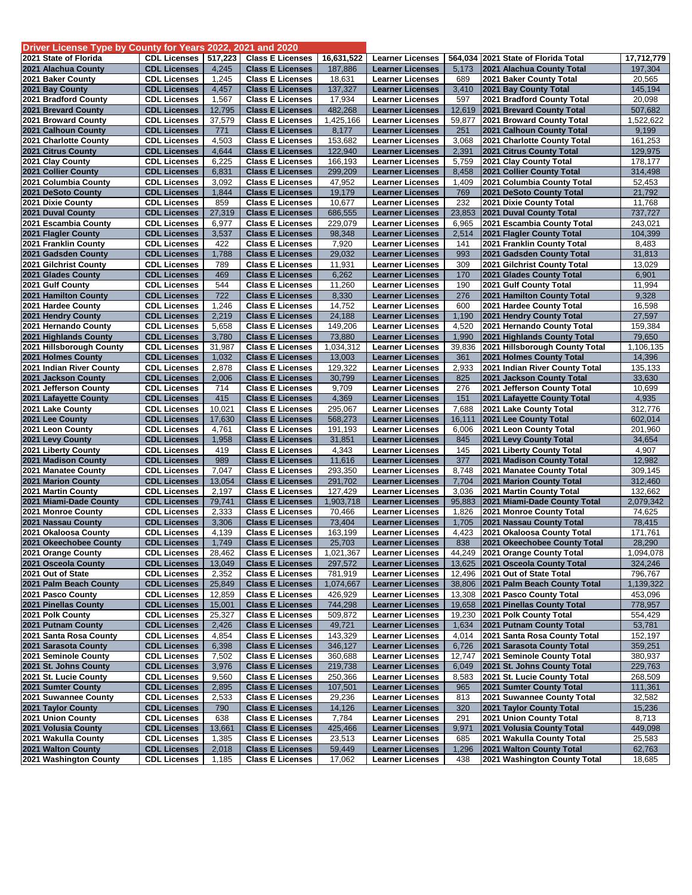| Driver License Type by County for Years 2022, 2021 and 2020 |                                            |                 |                                                    |                     |                                                    |                 |                                                           |                     |
|-------------------------------------------------------------|--------------------------------------------|-----------------|----------------------------------------------------|---------------------|----------------------------------------------------|-----------------|-----------------------------------------------------------|---------------------|
| 2021 State of Florida                                       | <b>CDL Licenses</b>                        | 517,223         | <b>Class E Licenses</b>                            | 16,631,522          | <b>Learner Licenses</b>                            | 564,034         | 2021 State of Florida Total                               | 17,712,779          |
| 2021 Alachua County                                         | <b>CDL Licenses</b>                        | 4,245           | <b>Class E Licenses</b>                            | 187,886             | <b>Learner Licenses</b>                            | 5,173           | 2021 Alachua County Total                                 | 197,304             |
| 2021 Baker County                                           | <b>CDL Licenses</b>                        | 1,245           | <b>Class E Licenses</b>                            | 18,631              | <b>Learner Licenses</b>                            | 689             | 2021 Baker County Total                                   | 20,565              |
| 2021 Bay County                                             | <b>CDL Licenses</b>                        | 4,457           | <b>Class E Licenses</b>                            | 137,327             | <b>Learner Licenses</b>                            | 3,410           | 2021 Bay County Total                                     | 145,194             |
| 2021 Bradford County                                        | <b>CDL Licenses</b>                        | 1,567           | <b>Class E Licenses</b>                            | 17,934              | <b>Learner Licenses</b>                            | 597             | 2021 Bradford County Total                                | 20,098              |
| 2021 Brevard County                                         | <b>CDL Licenses</b>                        | 12,795          | <b>Class E Licenses</b>                            | 482,268             | <b>Learner Licenses</b>                            | 12,619          | 2021 Brevard County Total                                 | 507,682             |
| 2021 Broward County                                         | <b>CDL Licenses</b>                        | 37,579          | <b>Class E Licenses</b>                            | 1,425,166           | <b>Learner Licenses</b>                            | 59,877          | 2021 Broward County Total                                 | 1,522,622           |
| 2021 Calhoun County<br>2021 Charlotte County                | <b>CDL Licenses</b><br><b>CDL Licenses</b> | 771<br>4,503    | <b>Class E Licenses</b><br><b>Class E Licenses</b> | 8,177<br>153,682    | <b>Learner Licenses</b><br><b>Learner Licenses</b> | 251<br>3,068    | 2021 Calhoun County Total<br>2021 Charlotte County Total  | 9,199<br>161,253    |
| 2021 Citrus County                                          | <b>CDL Licenses</b>                        | 4,644           | <b>Class E Licenses</b>                            | 122,940             | <b>Learner Licenses</b>                            | 2,391           | 2021 Citrus County Total                                  | 129,975             |
| 2021 Clay County                                            | <b>CDL Licenses</b>                        | 6,225           | <b>Class E Licenses</b>                            | 166,193             | <b>Learner Licenses</b>                            | 5,759           | 2021 Clay County Total                                    | 178,177             |
| 2021 Collier County                                         | <b>CDL Licenses</b>                        | 6,831           | <b>Class E Licenses</b>                            | 299,209             | <b>Learner Licenses</b>                            | 8,458           | 2021 Collier County Total                                 | 314,498             |
| 2021 Columbia County                                        | <b>CDL Licenses</b>                        | 3,092           | <b>Class E Licenses</b>                            | 47,952              | <b>Learner Licenses</b>                            | 1,409           | 2021 Columbia County Total                                | 52,453              |
| 2021 DeSoto County                                          | <b>CDL Licenses</b>                        | 1,844           | <b>Class E Licenses</b>                            | 19,179              | <b>Learner Licenses</b>                            | 769             | 2021 DeSoto County Total                                  | 21,792              |
| 2021 Dixie County                                           | <b>CDL Licenses</b>                        | 859             | <b>Class E Licenses</b>                            | 10,677              | <b>Learner Licenses</b>                            | 232             | 2021 Dixie County Total                                   | 11,768              |
| 2021 Duval County                                           | <b>CDL Licenses</b>                        | 27,319          | <b>Class E Licenses</b>                            | 686,555             | <b>Learner Licenses</b>                            | 23,853          | 2021 Duval County Total                                   | 737,727             |
| 2021 Escambia County                                        | <b>CDL Licenses</b>                        | 6,977           | <b>Class E Licenses</b>                            | 229,079             | <b>Learner Licenses</b>                            | 6,965           | 2021 Escambia County Total                                | 243,021             |
| 2021 Flagler County                                         | <b>CDL Licenses</b>                        | 3,537           | <b>Class E Licenses</b>                            | 98,348              | <b>Learner Licenses</b>                            | 2,514           | 2021 Flagler County Total                                 | 104,399             |
| 2021 Franklin County                                        | <b>CDL Licenses</b>                        | 422             | <b>Class E Licenses</b>                            | 7,920               | <b>Learner Licenses</b>                            | 141             | 2021 Franklin County Total                                | 8,483               |
| 2021 Gadsden County                                         | <b>CDL Licenses</b>                        | 1,788           | <b>Class E Licenses</b>                            | 29,032              | <b>Learner Licenses</b>                            | 993             | 2021 Gadsden County Total                                 | 31,813              |
| 2021 Gilchrist County                                       | <b>CDL Licenses</b>                        | 789             | <b>Class E Licenses</b>                            | 11,931              | <b>Learner Licenses</b>                            | 309             | 2021 Gilchrist County Total                               | 13,029              |
| 2021 Glades County                                          | <b>CDL Licenses</b>                        | 469             | <b>Class E Licenses</b>                            | 6,262               | <b>Learner Licenses</b>                            | 170             | 2021 Glades County Total                                  | 6,901               |
| 2021 Gulf County                                            | <b>CDL Licenses</b>                        | 544             | <b>Class E Licenses</b>                            | 11,260              | <b>Learner Licenses</b>                            | 190             | 2021 Gulf County Total                                    | 11,994              |
| 2021 Hamilton County                                        | <b>CDL Licenses</b>                        | 722             | <b>Class E Licenses</b>                            | 8,330               | <b>Learner Licenses</b>                            | 276             | 2021 Hamilton County Total                                | 9,328               |
| 2021 Hardee County                                          | <b>CDL Licenses</b>                        | 1,246           | <b>Class E Licenses</b>                            | 14,752              | <b>Learner Licenses</b>                            | 600             | 2021 Hardee County Total                                  | 16,598              |
| 2021 Hendry County                                          | <b>CDL Licenses</b>                        | 2,219           | <b>Class E Licenses</b>                            | 24,188              | <b>Learner Licenses</b><br><b>Learner Licenses</b> | 1,190<br>4,520  | 2021 Hendry County Total                                  | 27,597              |
| 2021 Hernando County<br>2021 Highlands County               | <b>CDL Licenses</b><br><b>CDL Licenses</b> | 5,658<br>3,780  | <b>Class E Licenses</b><br><b>Class E Licenses</b> | 149,206<br>73,880   | <b>Learner Licenses</b>                            | 1,990           | 2021 Hernando County Total<br>2021 Highlands County Total | 159,384<br>79,650   |
| 2021 Hillsborough County                                    | <b>CDL Licenses</b>                        | 31,987          | <b>Class E Licenses</b>                            | 1,034,312           | <b>Learner Licenses</b>                            | 39,836          | 2021 Hillsborough County Total                            | 1,106,135           |
| 2021 Holmes County                                          | <b>CDL Licenses</b>                        | 1,032           | <b>Class E Licenses</b>                            | 13,003              | <b>Learner Licenses</b>                            | 361             | 2021 Holmes County Total                                  | 14,396              |
| 2021 Indian River County                                    | <b>CDL Licenses</b>                        | 2,878           | <b>Class E Licenses</b>                            | 129,322             | <b>Learner Licenses</b>                            | 2,933           | 2021 Indian River County Total                            | 135,133             |
| 2021 Jackson County                                         | <b>CDL Licenses</b>                        | 2,006           | <b>Class E Licenses</b>                            | 30,799              | <b>Learner Licenses</b>                            | 825             | 2021 Jackson County Total                                 | 33,630              |
| 2021 Jefferson County                                       | <b>CDL Licenses</b>                        | 714             | <b>Class E Licenses</b>                            | 9,709               | <b>Learner Licenses</b>                            | 276             | 2021 Jefferson County Total                               | 10,699              |
| 2021 Lafayette County                                       | <b>CDL Licenses</b>                        | 415             | <b>Class E Licenses</b>                            | 4,369               | <b>Learner Licenses</b>                            | 151             | 2021 Lafayette County Total                               | 4,935               |
| 2021 Lake County                                            | <b>CDL Licenses</b>                        | 10,021          | <b>Class E Licenses</b>                            | 295,067             | <b>Learner Licenses</b>                            | 7,688           | 2021 Lake County Total                                    | 312,776             |
| 2021 Lee County                                             | <b>CDL Licenses</b>                        | 17,630          | <b>Class E Licenses</b>                            | 568,273             | <b>Learner Licenses</b>                            | 16,111          | 2021 Lee County Total                                     | 602,014             |
| 2021 Leon County                                            | <b>CDL Licenses</b>                        | 4,761           | <b>Class E Licenses</b>                            | 191,193             | <b>Learner Licenses</b>                            | 6,006           | 2021 Leon County Total                                    | 201,960             |
| 2021 Levy County                                            | <b>CDL Licenses</b>                        | 1,958           | <b>Class E Licenses</b>                            | 31,851              | <b>Learner Licenses</b>                            | 845             | 2021 Levy County Total                                    | 34,654              |
| 2021 Liberty County                                         | <b>CDL Licenses</b>                        | 419             | <b>Class E Licenses</b>                            | 4,343               | <b>Learner Licenses</b>                            | 145             | 2021 Liberty County Total                                 | 4,907               |
| 2021 Madison County                                         | <b>CDL Licenses</b>                        | 989             | <b>Class E Licenses</b>                            | 11,616              | <b>Learner Licenses</b>                            | 377             | 2021 Madison County Total                                 | 12,982              |
| 2021 Manatee County                                         | <b>CDL Licenses</b>                        | 7,047           | <b>Class E Licenses</b>                            | 293,350             | <b>Learner Licenses</b>                            | 8,748           | 2021 Manatee County Total                                 | 309,145             |
| 2021 Marion County                                          | <b>CDL Licenses</b>                        | 13,054          | <b>Class E Licenses</b>                            | 291,702             | <b>Learner Licenses</b>                            | 7,704           | 2021 Marion County Total                                  | 312,460             |
| 2021 Martin County                                          | <b>CDL Licenses</b>                        | 2,197           | <b>Class E Licenses</b>                            | 127,429             | <b>Learner Licenses</b>                            | 3,036           | 2021 Martin County Total                                  | 132,662             |
| 2021 Miami-Dade County<br>2021 Monroe County                | <b>CDL Licenses</b><br><b>CDL Licenses</b> | 79,741<br>2,333 | <b>Class E Licenses</b><br><b>Class E Licenses</b> | 1,903,718<br>70,466 | <b>Learner Licenses</b><br><b>Learner Licenses</b> | 95,883<br>1,826 | 2021 Miami-Dade County Total<br>2021 Monroe County Total  | 2,079,342<br>74,625 |
| 2021 Nassau County                                          | <b>CDL Licenses</b>                        | 3,306           | <b>Class E Licenses</b>                            | 73,404              | <b>Learner Licenses</b>                            | 1,705           | 2021 Nassau County Total                                  | 78,415              |
| 2021 Okaloosa County                                        | <b>CDL Licenses</b>                        | 4,139           | <b>Class E Licenses</b>                            | 163,199             | <b>Learner Licenses</b>                            | 4,423           | 2021 Okaloosa County Total                                | 171,761             |
| 2021 Okeechobee County                                      | <b>CDL Licenses</b>                        | 1,749           | <b>Class E Licenses</b>                            | 25,703              | <b>Learner Licenses</b>                            | 838             | 2021 Okeechobee County Total                              | 28,290              |
| 2021 Orange County                                          | <b>CDL Licenses</b>                        | 28,462          | <b>Class E Licenses</b>                            | 1,021,367           | <b>Learner Licenses</b>                            |                 | 44,249 2021 Orange County Total                           | 1,094,078           |
| 2021 Osceola County                                         | <b>CDL Licenses</b>                        | 13,049          | <b>Class E Licenses</b>                            | 297,572             | <b>Learner Licenses</b>                            |                 | 13,625 2021 Osceola County Total                          | 324,246             |
| 2021 Out of State                                           | <b>CDL Licenses</b>                        | 2,352           | <b>Class E Licenses</b>                            | 781,919             | <b>Learner Licenses</b>                            |                 | 12,496 2021 Out of State Total                            | 796,767             |
| 2021 Palm Beach County                                      | <b>CDL Licenses</b>                        | 25,849          | <b>Class E Licenses</b>                            | 1,074,667           | <b>Learner Licenses</b>                            |                 | 38,806 2021 Palm Beach County Total                       | 1,139,322           |
| 2021 Pasco County                                           | <b>CDL Licenses</b>                        | 12,859          | <b>Class E Licenses</b>                            | 426,929             | <b>Learner Licenses</b>                            |                 | 13,308 2021 Pasco County Total                            | 453,096             |
| 2021 Pinellas County                                        | <b>CDL Licenses</b>                        | 15,001          | <b>Class E Licenses</b>                            | 744,298             | <b>Learner Licenses</b>                            |                 | 19,658 2021 Pinellas County Total                         | 778,957             |
| 2021 Polk County                                            | <b>CDL Licenses</b>                        | 25,327          | <b>Class E Licenses</b>                            | 509,872             | <b>Learner Licenses</b>                            | 19,230          | 2021 Polk County Total                                    | 554,429             |
| 2021 Putnam County                                          | <b>CDL Licenses</b>                        | 2,426           | <b>Class E Licenses</b>                            | 49,721              | <b>Learner Licenses</b>                            | 1,634           | 2021 Putnam County Total                                  | 53,781              |
| 2021 Santa Rosa County                                      | <b>CDL Licenses</b>                        | 4,854           | <b>Class E Licenses</b>                            | 143,329             | <b>Learner Licenses</b>                            | 4,014           | 2021 Santa Rosa County Total                              | 152,197             |
| 2021 Sarasota County                                        | <b>CDL Licenses</b>                        | 6,398           | <b>Class E Licenses</b>                            | 346,127             | <b>Learner Licenses</b>                            | 6,726           | 2021 Sarasota County Total                                | 359,251             |
| 2021 Seminole County                                        | <b>CDL Licenses</b>                        | 7,502           | <b>Class E Licenses</b>                            | 360,688             | <b>Learner Licenses</b>                            | 12,747          | 2021 Seminole County Total                                | 380,937             |
| 2021 St. Johns County                                       | <b>CDL Licenses</b>                        | 3,976           | <b>Class E Licenses</b>                            | 219,738             | <b>Learner Licenses</b>                            | 6,049           | 2021 St. Johns County Total                               | 229,763             |
| 2021 St. Lucie County                                       | <b>CDL Licenses</b><br><b>CDL Licenses</b> | 9,560           | <b>Class E Licenses</b>                            | 250,366             | <b>Learner Licenses</b>                            | 8,583           | 2021 St. Lucie County Total                               | 268,509             |
| 2021 Sumter County<br>2021 Suwannee County                  | <b>CDL Licenses</b>                        | 2,895<br>2,533  | <b>Class E Licenses</b><br><b>Class E Licenses</b> | 107,501<br>29,236   | <b>Learner Licenses</b><br><b>Learner Licenses</b> | 965<br>813      | 2021 Sumter County Total<br>2021 Suwannee County Total    | 111,361<br>32,582   |
| 2021 Taylor County                                          | <b>CDL Licenses</b>                        | 790             | <b>Class E Licenses</b>                            | 14,126              | <b>Learner Licenses</b>                            | 320             | 2021 Taylor County Total                                  | 15,236              |
| 2021 Union County                                           | <b>CDL Licenses</b>                        | 638             | <b>Class E Licenses</b>                            | 7,784               | <b>Learner Licenses</b>                            | 291             | 2021 Union County Total                                   | 8,713               |
| 2021 Volusia County                                         | <b>CDL Licenses</b>                        | 13,661          | <b>Class E Licenses</b>                            | 425,466             | <b>Learner Licenses</b>                            | 9,971           | 2021 Volusia County Total                                 | 449,098             |
| 2021 Wakulla County                                         | <b>CDL Licenses</b>                        | 1,385           | <b>Class E Licenses</b>                            | 23,513              | <b>Learner Licenses</b>                            | 685             | 2021 Wakulla County Total                                 | 25,583              |
| 2021 Walton County                                          | <b>CDL Licenses</b>                        | 2,018           | <b>Class E Licenses</b>                            | 59,449              | <b>Learner Licenses</b>                            | 1,296           | 2021 Walton County Total                                  | 62,763              |
| 2021 Washington County                                      | <b>CDL Licenses</b>                        | 1,185           | <b>Class E Licenses</b>                            | 17,062              | <b>Learner Licenses</b>                            | 438             | 2021 Washington County Total                              | 18,685              |